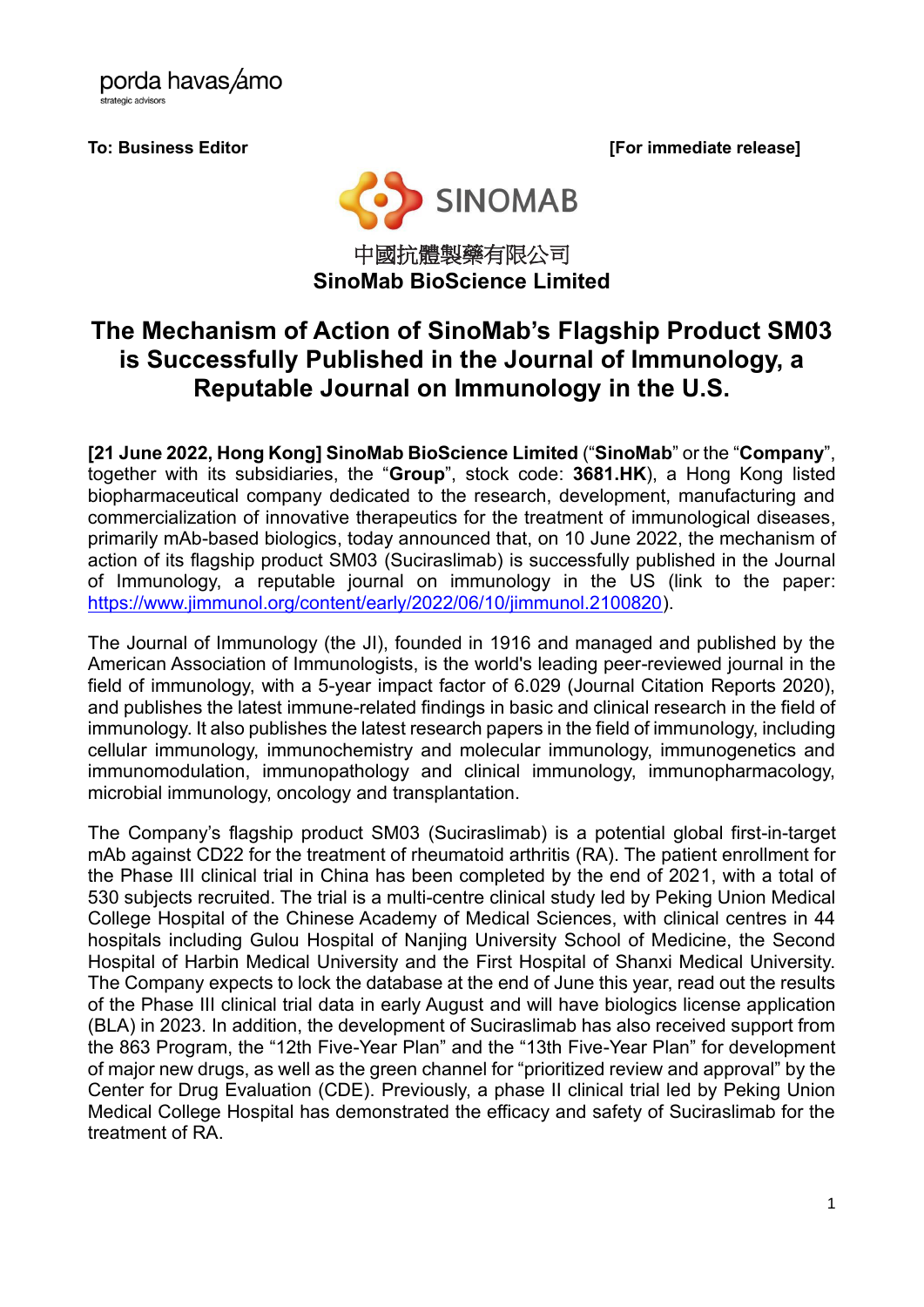porda havas/amo strategic advisors

**To: Business Editor [For immediate release]**



### 中國抗體製藥有限公司 **SinoMab BioScience Limited**

## **The Mechanism of Action of SinoMab's Flagship Product SM03 is Successfully Published in the Journal of Immunology, a Reputable Journal on Immunology in the U.S.**

**[21 June 2022, Hong Kong] SinoMab BioScience Limited** ("**SinoMab**" or the "**Company**", together with its subsidiaries, the "**Group**", stock code: **3681.HK**), a Hong Kong listed biopharmaceutical company dedicated to the research, development, manufacturing and commercialization of innovative therapeutics for the treatment of immunological diseases, primarily mAb-based biologics, today announced that, on 10 June 2022, the mechanism of action of its flagship product SM03 (Suciraslimab) is successfully published in the Journal of Immunology, a reputable journal on immunology in the US (link to the paper: [https://www.jimmunol.org/content/early/2022/06/10/jimmunol.2100820\)](https://www.jimmunol.org/content/early/2022/06/10/jimmunol.2100820).

The Journal of Immunology (the JI), founded in 1916 and managed and published by the American Association of Immunologists, is the world's leading peer-reviewed journal in the field of immunology, with a 5-year impact factor of 6.029 (Journal Citation Reports 2020), and publishes the latest immune-related findings in basic and clinical research in the field of immunology. It also publishes the latest research papers in the field of immunology, including cellular immunology, immunochemistry and molecular immunology, immunogenetics and immunomodulation, immunopathology and clinical immunology, immunopharmacology, microbial immunology, oncology and transplantation.

The Company's flagship product SM03 (Suciraslimab) is a potential global first-in-target mAb against CD22 for the treatment of rheumatoid arthritis (RA). The patient enrollment for the Phase III clinical trial in China has been completed by the end of 2021, with a total of 530 subjects recruited. The trial is a multi-centre clinical study led by Peking Union Medical College Hospital of the Chinese Academy of Medical Sciences, with clinical centres in 44 hospitals including Gulou Hospital of Nanjing University School of Medicine, the Second Hospital of Harbin Medical University and the First Hospital of Shanxi Medical University. The Company expects to lock the database at the end of June this year, read out the results of the Phase III clinical trial data in early August and will have biologics license application (BLA) in 2023. In addition, the development of Suciraslimab has also received support from the 863 Program, the "12th Five-Year Plan" and the "13th Five-Year Plan" for development of major new drugs, as well as the green channel for "prioritized review and approval" by the Center for Drug Evaluation (CDE). Previously, a phase II clinical trial led by Peking Union Medical College Hospital has demonstrated the efficacy and safety of Suciraslimab for the treatment of RA.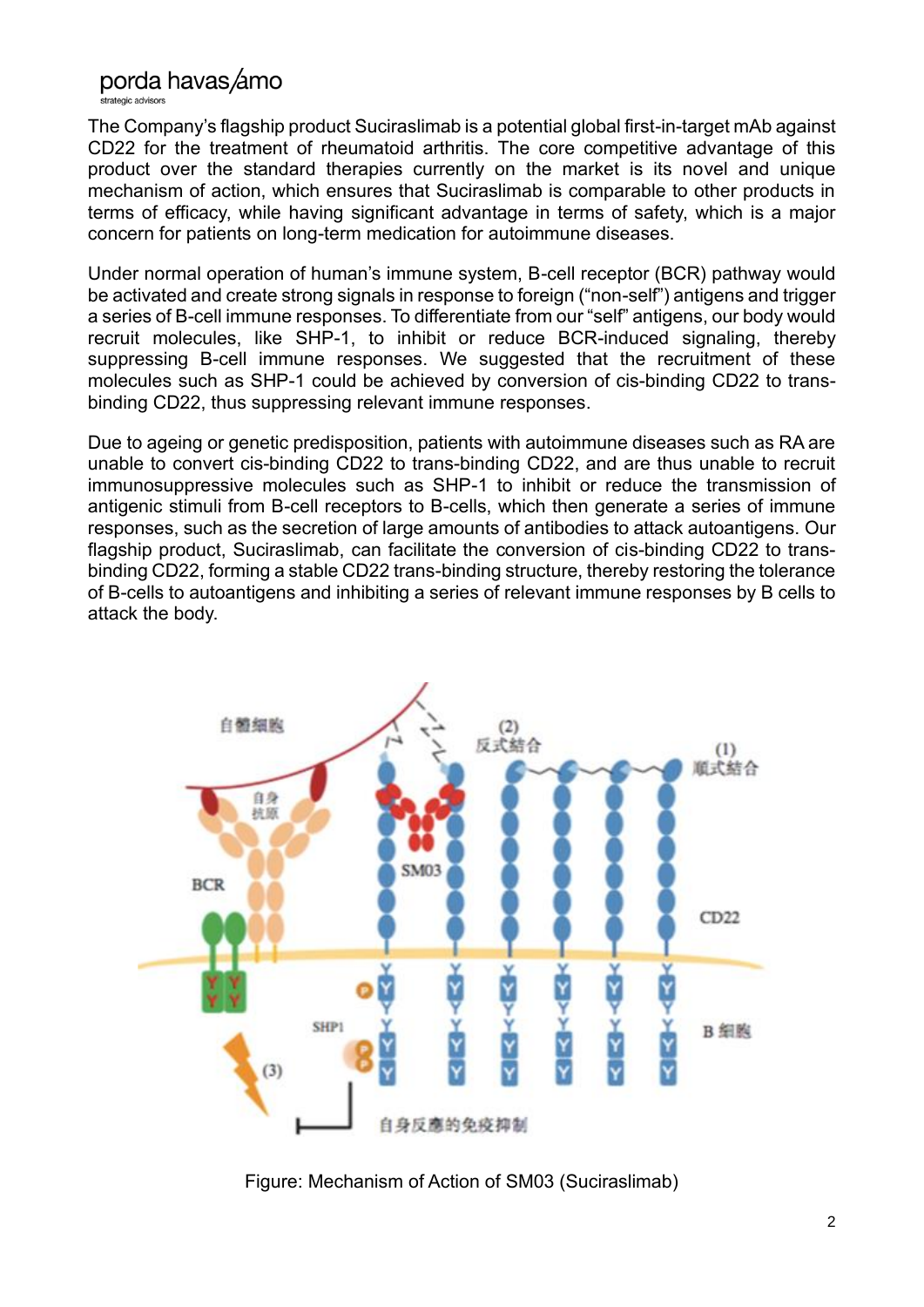## porda havas amo

strategic advisors

The Company's flagship product Suciraslimab is a potential global first-in-target mAb against CD22 for the treatment of rheumatoid arthritis. The core competitive advantage of this product over the standard therapies currently on the market is its novel and unique mechanism of action, which ensures that Suciraslimab is comparable to other products in terms of efficacy, while having significant advantage in terms of safety, which is a major concern for patients on long-term medication for autoimmune diseases.

Under normal operation of human's immune system, B-cell receptor (BCR) pathway would be activated and create strong signals in response to foreign ("non-self") antigens and trigger a series of B-cell immune responses. To differentiate from our "self" antigens, our body would recruit molecules, like SHP-1, to inhibit or reduce BCR-induced signaling, thereby suppressing B-cell immune responses. We suggested that the recruitment of these molecules such as SHP-1 could be achieved by conversion of cis-binding CD22 to transbinding CD22, thus suppressing relevant immune responses.

Due to ageing or genetic predisposition, patients with autoimmune diseases such as RA are unable to convert cis-binding CD22 to trans-binding CD22, and are thus unable to recruit immunosuppressive molecules such as SHP-1 to inhibit or reduce the transmission of antigenic stimuli from B-cell receptors to B-cells, which then generate a series of immune responses, such as the secretion of large amounts of antibodies to attack autoantigens. Our flagship product, Suciraslimab, can facilitate the conversion of cis-binding CD22 to transbinding CD22, forming a stable CD22 trans-binding structure, thereby restoring the tolerance of B-cells to autoantigens and inhibiting a series of relevant immune responses by B cells to attack the body.



Figure: Mechanism of Action of SM03 (Suciraslimab)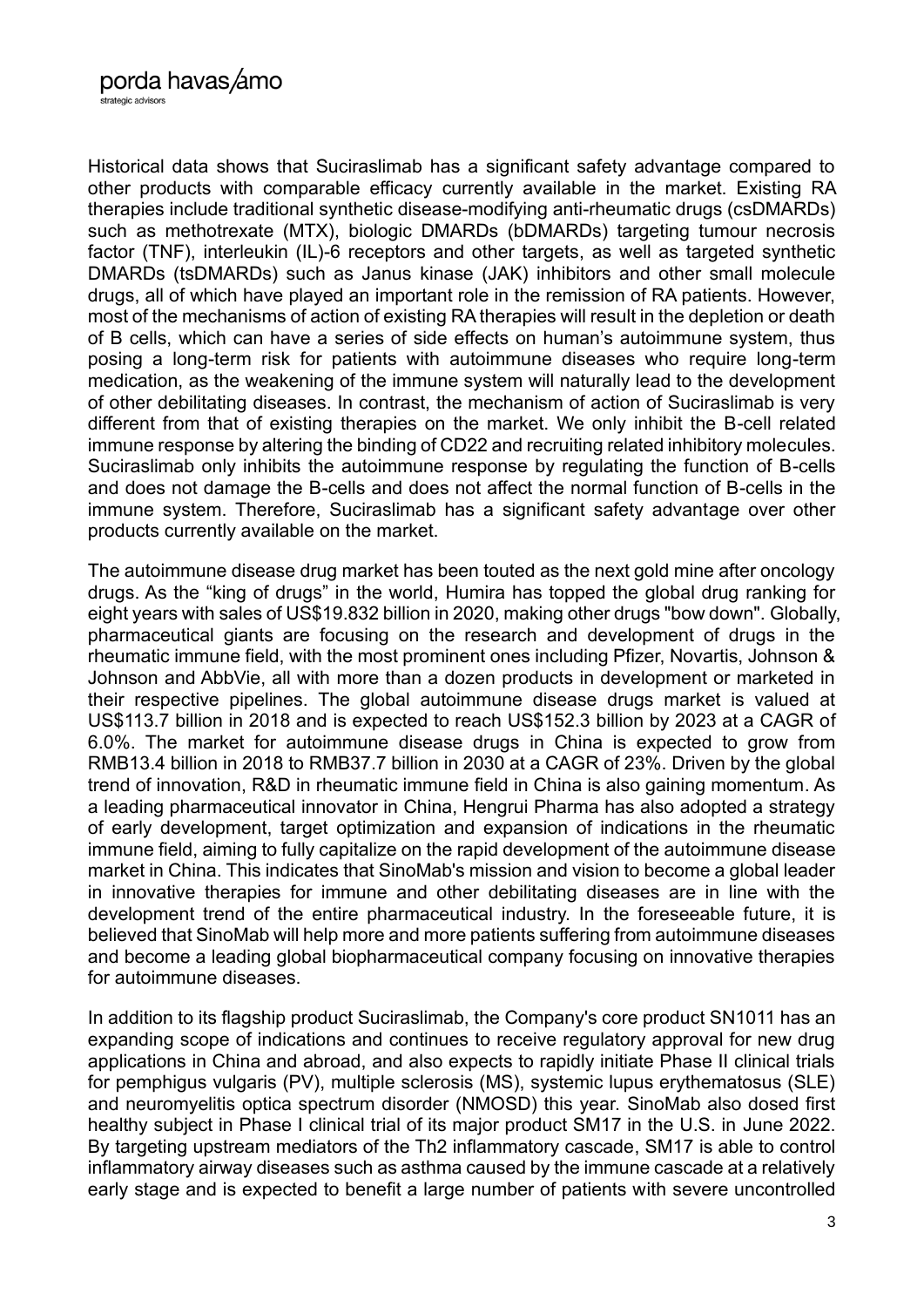Historical data shows that Suciraslimab has a significant safety advantage compared to other products with comparable efficacy currently available in the market. Existing RA therapies include traditional synthetic disease-modifying anti-rheumatic drugs (csDMARDs) such as methotrexate (MTX), biologic DMARDs (bDMARDs) targeting tumour necrosis factor (TNF), interleukin (IL)-6 receptors and other targets, as well as targeted synthetic DMARDs (tsDMARDs) such as Janus kinase (JAK) inhibitors and other small molecule drugs, all of which have played an important role in the remission of RA patients. However, most of the mechanisms of action of existing RA therapies will result in the depletion or death of B cells, which can have a series of side effects on human's autoimmune system, thus posing a long-term risk for patients with autoimmune diseases who require long-term medication, as the weakening of the immune system will naturally lead to the development of other debilitating diseases. In contrast, the mechanism of action of Suciraslimab is very different from that of existing therapies on the market. We only inhibit the B-cell related immune response by altering the binding of CD22 and recruiting related inhibitory molecules. Suciraslimab only inhibits the autoimmune response by regulating the function of B-cells and does not damage the B-cells and does not affect the normal function of B-cells in the immune system. Therefore, Suciraslimab has a significant safety advantage over other products currently available on the market.

The autoimmune disease drug market has been touted as the next gold mine after oncology drugs. As the "king of drugs" in the world, Humira has topped the global drug ranking for eight years with sales of US\$19.832 billion in 2020, making other drugs "bow down". Globally, pharmaceutical giants are focusing on the research and development of drugs in the rheumatic immune field, with the most prominent ones including Pfizer, Novartis, Johnson & Johnson and AbbVie, all with more than a dozen products in development or marketed in their respective pipelines. The global autoimmune disease drugs market is valued at US\$113.7 billion in 2018 and is expected to reach US\$152.3 billion by 2023 at a CAGR of 6.0%. The market for autoimmune disease drugs in China is expected to grow from RMB13.4 billion in 2018 to RMB37.7 billion in 2030 at a CAGR of 23%. Driven by the global trend of innovation, R&D in rheumatic immune field in China is also gaining momentum. As a leading pharmaceutical innovator in China, Hengrui Pharma has also adopted a strategy of early development, target optimization and expansion of indications in the rheumatic immune field, aiming to fully capitalize on the rapid development of the autoimmune disease market in China. This indicates that SinoMab's mission and vision to become a global leader in innovative therapies for immune and other debilitating diseases are in line with the development trend of the entire pharmaceutical industry. In the foreseeable future, it is believed that SinoMab will help more and more patients suffering from autoimmune diseases and become a leading global biopharmaceutical company focusing on innovative therapies for autoimmune diseases.

In addition to its flagship product Suciraslimab, the Company's core product SN1011 has an expanding scope of indications and continues to receive regulatory approval for new drug applications in China and abroad, and also expects to rapidly initiate Phase II clinical trials for pemphigus vulgaris (PV), multiple sclerosis (MS), systemic lupus erythematosus (SLE) and neuromyelitis optica spectrum disorder (NMOSD) this year. SinoMab also dosed first healthy subject in Phase I clinical trial of its major product SM17 in the U.S. in June 2022. By targeting upstream mediators of the Th2 inflammatory cascade, SM17 is able to control inflammatory airway diseases such as asthma caused by the immune cascade at a relatively early stage and is expected to benefit a large number of patients with severe uncontrolled